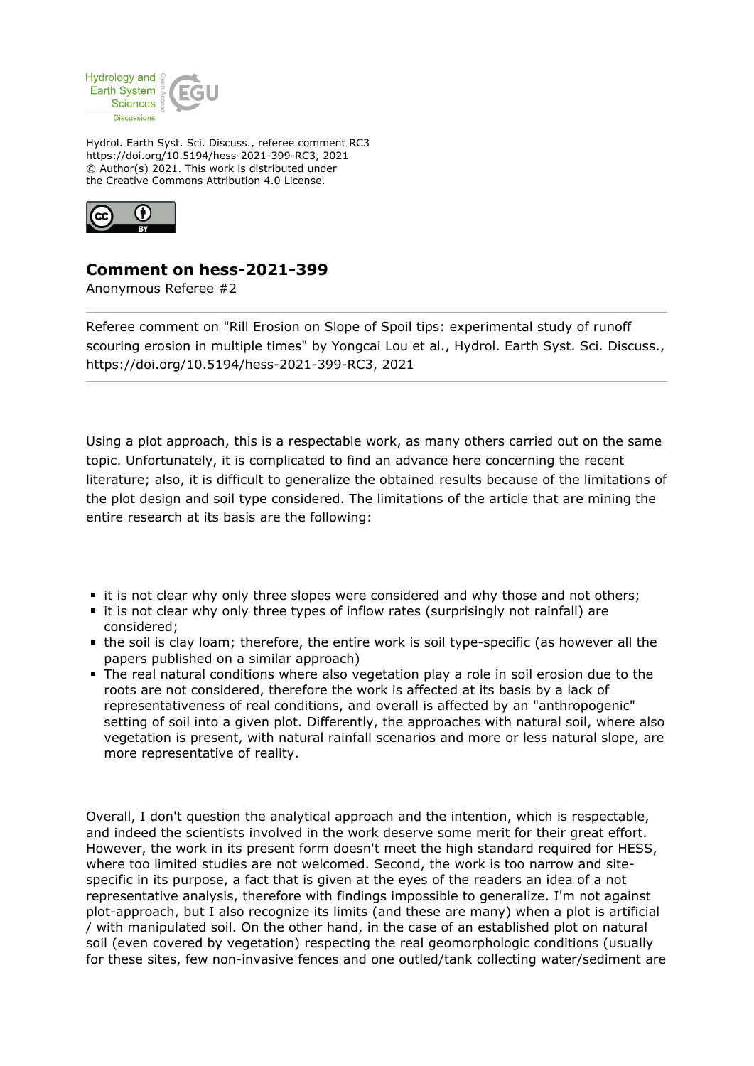

Hydrol. Earth Syst. Sci. Discuss., referee comment RC3 https://doi.org/10.5194/hess-2021-399-RC3, 2021 © Author(s) 2021. This work is distributed under the Creative Commons Attribution 4.0 License.



## **Comment on hess-2021-399**

Anonymous Referee #2

Referee comment on "Rill Erosion on Slope of Spoil tips: experimental study of runoff scouring erosion in multiple times" by Yongcai Lou et al., Hydrol. Earth Syst. Sci. Discuss., https://doi.org/10.5194/hess-2021-399-RC3, 2021

Using a plot approach, this is a respectable work, as many others carried out on the same topic. Unfortunately, it is complicated to find an advance here concerning the recent literature; also, it is difficult to generalize the obtained results because of the limitations of the plot design and soil type considered. The limitations of the article that are mining the entire research at its basis are the following:

- If it is not clear why only three slopes were considered and why those and not others;
- **t** it is not clear why only three types of inflow rates (surprisingly not rainfall) are considered;
- the soil is clay loam; therefore, the entire work is soil type-specific (as however all the papers published on a similar approach)
- The real natural conditions where also vegetation play a role in soil erosion due to the roots are not considered, therefore the work is affected at its basis by a lack of representativeness of real conditions, and overall is affected by an "anthropogenic" setting of soil into a given plot. Differently, the approaches with natural soil, where also vegetation is present, with natural rainfall scenarios and more or less natural slope, are more representative of reality.

Overall, I don't question the analytical approach and the intention, which is respectable, and indeed the scientists involved in the work deserve some merit for their great effort. However, the work in its present form doesn't meet the high standard required for HESS, where too limited studies are not welcomed. Second, the work is too narrow and sitespecific in its purpose, a fact that is given at the eyes of the readers an idea of a not representative analysis, therefore with findings impossible to generalize. I'm not against plot-approach, but I also recognize its limits (and these are many) when a plot is artificial / with manipulated soil. On the other hand, in the case of an established plot on natural soil (even covered by vegetation) respecting the real geomorphologic conditions (usually for these sites, few non-invasive fences and one outled/tank collecting water/sediment are